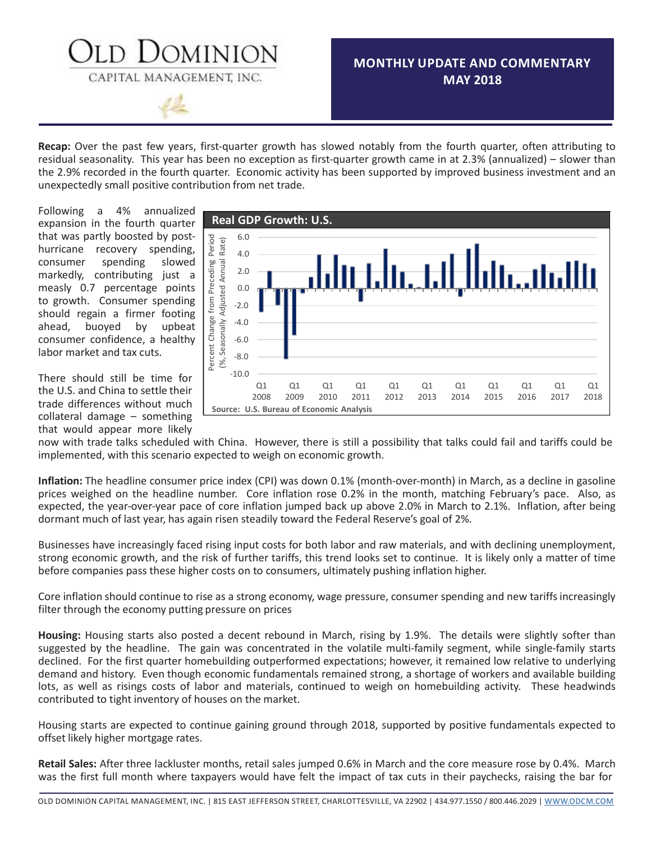### **MONTHLY UPDATE AND COMMENTARY MAY 2018**

**Recap:** Over the past few years, first-quarter growth has slowed notably from the fourth quarter, often attributing to residual seasonality. This year has been no exception as first-quarter growth came in at 2.3% (annualized) – slower than the 2.9% recorded in the fourth quarter. Economic activity has been supported by improved business investment and an unexpectedly small positive contribution from net trade.

OMINION

CAPITAL MANAGEMENT, INC.

Following a 4% annualized expansion in the fourth quarter that was partly boosted by posthurricane recovery spending, consumer spending slowed markedly, contributing just a measly 0.7 percentage points to growth. Consumer spending should regain a firmer footing ahead, buoyed by upbeat consumer confidence, a healthy labor market and tax cuts.

There should still be time for the U.S. and China to settle their  $\begin{bmatrix} 0 & 0 \\ 0 & 0 \end{bmatrix}$ trade differences without much collateral damage – something that would appear more likely



now with trade talks scheduled with China. However, there is still a possibility that talks could fail and tariffs could be implemented, with this scenario expected to weigh on economic growth.

**Inflation:** The headline consumer price index (CPI) was down 0.1% (month-over-month) in March, as a decline in gasoline prices weighed on the headline number. Core inflation rose 0.2% in the month, matching February's pace. Also, as expected, the year-over-year pace of core inflation jumped back up above 2.0% in March to 2.1%. Inflation, after being dormant much of last year, has again risen steadily toward the Federal Reserve's goal of 2%.

Businesses have increasingly faced rising input costs for both labor and raw materials, and with declining unemployment, strong economic growth, and the risk of further tariffs, this trend looks set to continue. It is likely only a matter of time before companies pass these higher costs on to consumers, ultimately pushing inflation higher.

Core inflation should continue to rise as a strong economy, wage pressure, consumer spending and new tariffsincreasingly filter through the economy putting pressure on prices

**Housing:** Housing starts also posted a decent rebound in March, rising by 1.9%. The details were slightly softer than suggested by the headline. The gain was concentrated in the volatile multi-family segment, while single-family starts declined. For the first quarter homebuilding outperformed expectations; however, it remained low relative to underlying demand and history. Even though economic fundamentals remained strong, a shortage of workers and available building lots, as well as risings costs of labor and materials, continued to weigh on homebuilding activity. These headwinds contributed to tight inventory of houses on the market.

Housing starts are expected to continue gaining ground through 2018, supported by positive fundamentals expected to offset likely higher mortgage rates.

**Retail Sales:** After three lackluster months, retail sales jumped 0.6% in March and the core measure rose by 0.4%. March was the first full month where taxpayers would have felt the impact of tax cuts in their paychecks, raising the bar for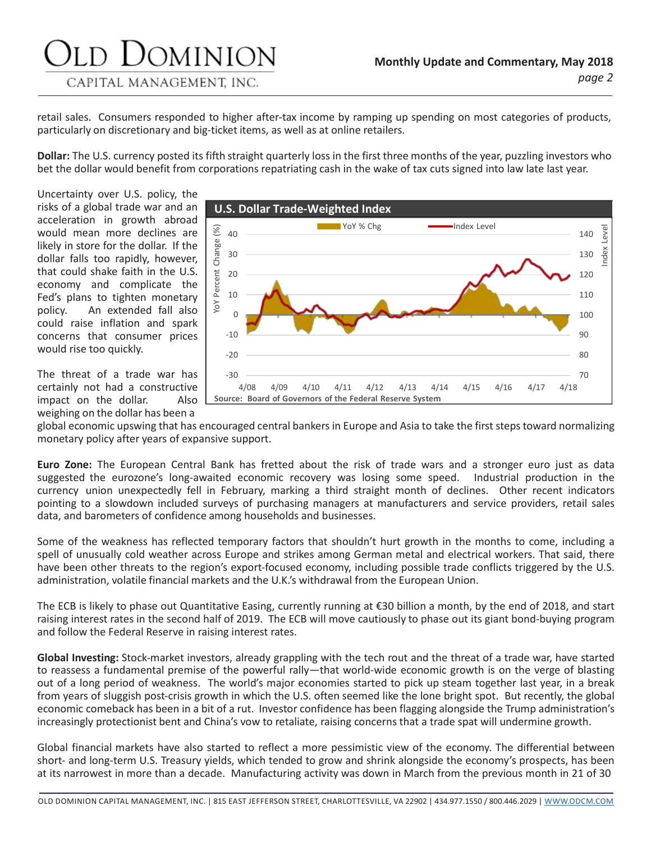# JOMINION

CAPITAL MANAGEMENT, INC.

retail sales. Consumers responded to higher after-tax income by ramping up spending on most categories of products, particularly on discretionary and big-ticket items, as well as at online retailers.

**Dollar:** The U.S. currency posted its fifth straight quarterly loss in the first three months of the year, puzzling investors who bet the dollar would benefit from corporations repatriating cash in the wake of tax cuts signed into law late last year.

Uncertainty over U.S. policy, the risks of a global trade war and an acceleration in growth abroad would mean more declines are likely in store for the dollar. If the dollar falls too rapidly, however, that could shake faith in the U.S. economy and complicate the Fed's plans to tighten monetary policy. An extended fall also could raise inflation and spark concerns that consumer prices would rise too quickly.

The threat of a trade war has certainly not had a constructive impact on the dollar. Also weighing on the dollar has been a



global economic upswing that has encouraged central bankers in Europe and Asia to take the first steps toward normalizing monetary policy after years of expansive support.

**Euro Zone:** The European Central Bank has fretted about the risk of trade wars and a stronger euro just as data suggested the eurozone's long-awaited economic recovery was losing some speed. Industrial production in the currency union unexpectedly fell in February, marking a third straight month of declines. Other recent indicators pointing to a slowdown included surveys of purchasing managers at manufacturers and service providers, retail sales data, and barometers of confidence among households and businesses.

Some of the weakness has reflected temporary factors that shouldn't hurt growth in the months to come, including a spell of unusually cold weather across Europe and strikes among German metal and electrical workers. That said, there have been other threats to the region's export-focused economy, including possible trade conflicts triggered by the U.S. administration, volatile financial markets and the U.K.'s withdrawal from the European Union.

The ECB is likely to phase out Quantitative Easing, currently running at €30 billion a month, by the end of 2018, and start raising interest rates in the second half of 2019. The ECB will move cautiously to phase out its giant bond-buying program and follow the Federal Reserve in raising interest rates.

**Global Investing:** Stock-market investors, already grappling with the tech rout and the threat of a trade war, have started to reassess a fundamental premise of the powerful rally—that world-wide economic growth is on the verge of blasting out of a long period of weakness. The world's major economies started to pick up steam together last year, in a break from years of sluggish post-crisis growth in which the U.S. often seemed like the lone bright spot. But recently, the global economic comeback has been in a bit of a rut. Investor confidence has been flagging alongside the Trump administration's increasingly protectionist bent and China's vow to retaliate, raising concerns that a trade spat will undermine growth.

Global financial markets have also started to reflect a more pessimistic view of the economy. The differential between short- and long-term U.S. Treasury yields, which tended to grow and shrink alongside the economy's prospects, has been at its narrowest in more than a decade. Manufacturing activity was down in March from the previous month in 21 of 30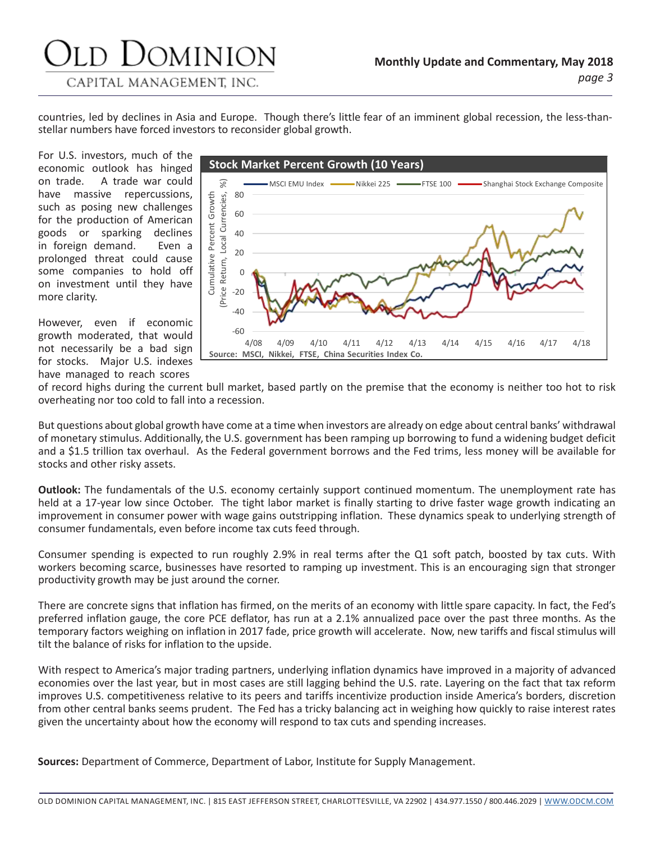## d Dominion

#### CAPITAL MANAGEMENT, INC.

countries, led by declines in Asia and Europe. Though there's little fear of an imminent global recession, the less-thanstellar numbers have forced investors to reconsider global growth.

For U.S. investors, much of the economic outlook has hinged on trade. A trade war could have massive repercussions, such as posing new challenges for the production of American goods or sparking declines in foreign demand. Even a prolonged threat could cause some companies to hold off on investment until they have more clarity.

However, even if economic growth moderated, that would not necessarily be a bad sign for stocks. Major U.S. indexes have managed to reach scores



of record highs during the current bull market, based partly on the premise that the economy is neither too hot to risk overheating nor too cold to fall into a recession.

But questions about global growth have come at a time when investors are already on edge about central banks' withdrawal of monetary stimulus. Additionally,the U.S. government has been ramping up borrowing to fund a widening budget deficit and a \$1.5 trillion tax overhaul. As the Federal government borrows and the Fed trims, less money will be available for stocks and other risky assets.

**Outlook:** The fundamentals of the U.S. economy certainly support continued momentum. The unemployment rate has held at a 17-year low since October. The tight labor market is finally starting to drive faster wage growth indicating an improvement in consumer power with wage gains outstripping inflation. These dynamics speak to underlying strength of consumer fundamentals, even before income tax cuts feed through.

Consumer spending is expected to run roughly 2.9% in real terms after the Q1 soft patch, boosted by tax cuts. With workers becoming scarce, businesses have resorted to ramping up investment. This is an encouraging sign that stronger productivity growth may be just around the corner.

There are concrete signs that inflation has firmed, on the merits of an economy with little spare capacity. In fact, the Fed's preferred inflation gauge, the core PCE deflator, has run at a 2.1% annualized pace over the past three months. As the temporary factors weighing on inflation in 2017 fade, price growth will accelerate. Now, new tariffs and fiscal stimulus will tilt the balance of risks for inflation to the upside.

With respect to America's major trading partners, underlying inflation dynamics have improved in a majority of advanced economies over the last year, but in most cases are still lagging behind the U.S. rate. Layering on the fact that tax reform improves U.S. competitiveness relative to its peers and tariffs incentivize production inside America's borders, discretion from other central banks seems prudent. The Fed has a tricky balancing act in weighing how quickly to raise interest rates given the uncertainty about how the economy will respond to tax cuts and spending increases.

**Sources:** Department of Commerce, Department of Labor, Institute for Supply Management.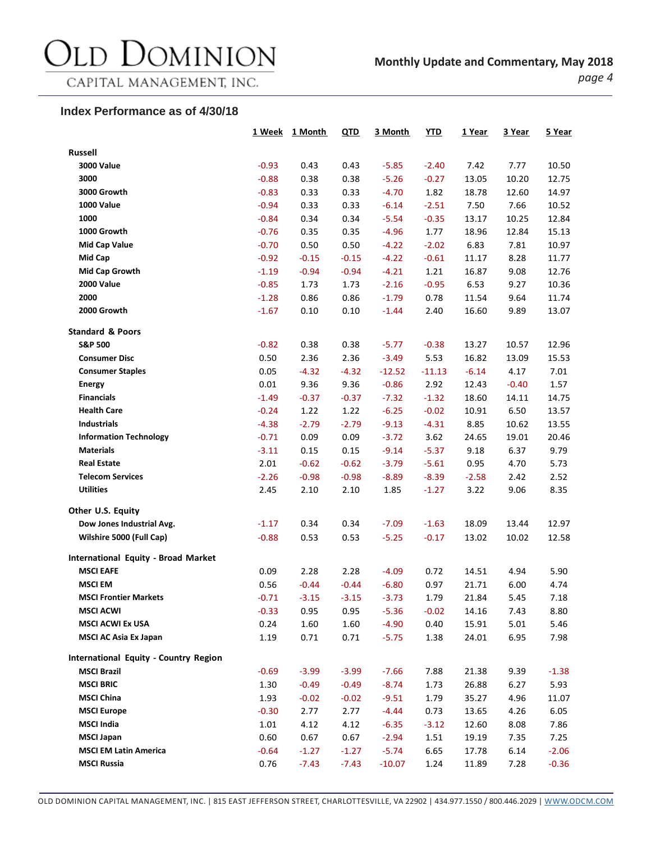### Old Dominion

CAPITAL MANAGEMENT, INC.

#### **Index Performance as of 4/30/18**

|                                            | 1 Week  | 1 Month | QTD     | 3 Month  | YTD      | 1 Year  | 3 Year  | 5 Year  |
|--------------------------------------------|---------|---------|---------|----------|----------|---------|---------|---------|
| <b>Russell</b>                             |         |         |         |          |          |         |         |         |
| <b>3000 Value</b>                          | $-0.93$ | 0.43    | 0.43    | $-5.85$  | $-2.40$  | 7.42    | 7.77    | 10.50   |
| 3000                                       | $-0.88$ | 0.38    | 0.38    | $-5.26$  | $-0.27$  | 13.05   | 10.20   | 12.75   |
| 3000 Growth                                | $-0.83$ | 0.33    | 0.33    | $-4.70$  | 1.82     | 18.78   | 12.60   | 14.97   |
| <b>1000 Value</b>                          | $-0.94$ | 0.33    | 0.33    | $-6.14$  | $-2.51$  | 7.50    | 7.66    | 10.52   |
| 1000                                       | $-0.84$ | 0.34    | 0.34    | $-5.54$  | $-0.35$  | 13.17   | 10.25   | 12.84   |
| 1000 Growth                                | $-0.76$ | 0.35    | 0.35    | $-4.96$  | 1.77     | 18.96   | 12.84   | 15.13   |
| <b>Mid Cap Value</b>                       | $-0.70$ | 0.50    | 0.50    | $-4.22$  | $-2.02$  | 6.83    | 7.81    | 10.97   |
| Mid Cap                                    | $-0.92$ | $-0.15$ | $-0.15$ | $-4.22$  | $-0.61$  | 11.17   | 8.28    | 11.77   |
| Mid Cap Growth                             | $-1.19$ | $-0.94$ | $-0.94$ | $-4.21$  | 1.21     | 16.87   | 9.08    | 12.76   |
| <b>2000 Value</b>                          | $-0.85$ | 1.73    | 1.73    | $-2.16$  | $-0.95$  | 6.53    | 9.27    | 10.36   |
| 2000                                       | $-1.28$ | 0.86    | 0.86    | $-1.79$  | 0.78     | 11.54   | 9.64    | 11.74   |
| 2000 Growth                                | $-1.67$ | 0.10    | 0.10    | $-1.44$  | 2.40     | 16.60   | 9.89    | 13.07   |
| <b>Standard &amp; Poors</b>                |         |         |         |          |          |         |         |         |
| <b>S&amp;P 500</b>                         | $-0.82$ | 0.38    | 0.38    | $-5.77$  | $-0.38$  | 13.27   | 10.57   | 12.96   |
| <b>Consumer Disc</b>                       | 0.50    | 2.36    | 2.36    | $-3.49$  | 5.53     | 16.82   | 13.09   | 15.53   |
| <b>Consumer Staples</b>                    | 0.05    | $-4.32$ | $-4.32$ | $-12.52$ | $-11.13$ | $-6.14$ | 4.17    | 7.01    |
| <b>Energy</b>                              | 0.01    | 9.36    | 9.36    | $-0.86$  | 2.92     | 12.43   | $-0.40$ | 1.57    |
| <b>Financials</b>                          | $-1.49$ | $-0.37$ | $-0.37$ | $-7.32$  | $-1.32$  | 18.60   | 14.11   | 14.75   |
| <b>Health Care</b>                         | $-0.24$ | 1.22    | 1.22    | $-6.25$  | $-0.02$  | 10.91   | 6.50    | 13.57   |
| <b>Industrials</b>                         | $-4.38$ | $-2.79$ | $-2.79$ | $-9.13$  | $-4.31$  | 8.85    | 10.62   | 13.55   |
| <b>Information Technology</b>              | $-0.71$ | 0.09    | 0.09    | $-3.72$  | 3.62     | 24.65   | 19.01   | 20.46   |
| <b>Materials</b>                           | $-3.11$ | 0.15    | 0.15    | $-9.14$  | $-5.37$  | 9.18    | 6.37    | 9.79    |
| <b>Real Estate</b>                         | 2.01    | $-0.62$ | $-0.62$ | $-3.79$  | $-5.61$  | 0.95    | 4.70    | 5.73    |
| <b>Telecom Services</b>                    | $-2.26$ | $-0.98$ | $-0.98$ | $-8.89$  | $-8.39$  | $-2.58$ | 2.42    | 2.52    |
| <b>Utilities</b>                           | 2.45    | 2.10    | 2.10    | 1.85     | $-1.27$  | 3.22    | 9.06    | 8.35    |
| Other U.S. Equity                          |         |         |         |          |          |         |         |         |
| Dow Jones Industrial Avg.                  | $-1.17$ | 0.34    | 0.34    | $-7.09$  | $-1.63$  | 18.09   | 13.44   | 12.97   |
| Wilshire 5000 (Full Cap)                   | $-0.88$ | 0.53    | 0.53    | $-5.25$  | $-0.17$  | 13.02   | 10.02   | 12.58   |
| <b>International Equity - Broad Market</b> |         |         |         |          |          |         |         |         |
| <b>MSCI EAFE</b>                           | 0.09    | 2.28    | 2.28    | $-4.09$  | 0.72     | 14.51   | 4.94    | 5.90    |
| <b>MSCI EM</b>                             | 0.56    | $-0.44$ | $-0.44$ | $-6.80$  | 0.97     | 21.71   | 6.00    | 4.74    |
| <b>MSCI Frontier Markets</b>               | $-0.71$ | $-3.15$ | $-3.15$ | $-3.73$  | 1.79     | 21.84   | 5.45    | 7.18    |
| <b>MSCI ACWI</b>                           | $-0.33$ | 0.95    | 0.95    | $-5.36$  | $-0.02$  | 14.16   | 7.43    | 8.80    |
| <b>MSCI ACWI Ex USA</b>                    | 0.24    | 1.60    | 1.60    | $-4.90$  | 0.40     | 15.91   | 5.01    | 5.46    |
| <b>MSCI AC Asia Ex Japan</b>               | 1.19    | 0.71    | 0.71    | $-5.75$  | 1.38     | 24.01   | 6.95    | 7.98    |
| International Equity - Country Region      |         |         |         |          |          |         |         |         |
| <b>MSCI Brazil</b>                         | $-0.69$ | $-3.99$ | $-3.99$ | $-7.66$  | 7.88     | 21.38   | 9.39    | $-1.38$ |
| <b>MSCI BRIC</b>                           | 1.30    | $-0.49$ | $-0.49$ | $-8.74$  | 1.73     | 26.88   | 6.27    | 5.93    |
| <b>MSCI China</b>                          | 1.93    | $-0.02$ | $-0.02$ | $-9.51$  | 1.79     | 35.27   | 4.96    | 11.07   |
| <b>MSCI Europe</b>                         | $-0.30$ | 2.77    | 2.77    | $-4.44$  | 0.73     | 13.65   | 4.26    | 6.05    |
| <b>MSCI India</b>                          | 1.01    | 4.12    | 4.12    | $-6.35$  | $-3.12$  | 12.60   | 8.08    | 7.86    |
| <b>MSCI Japan</b>                          | 0.60    | 0.67    | 0.67    | $-2.94$  | 1.51     | 19.19   | 7.35    | 7.25    |
| <b>MSCI EM Latin America</b>               | $-0.64$ | $-1.27$ | $-1.27$ | $-5.74$  | 6.65     | 17.78   | 6.14    | $-2.06$ |
| <b>MSCI Russia</b>                         | 0.76    | $-7.43$ | $-7.43$ | $-10.07$ | 1.24     | 11.89   | 7.28    | $-0.36$ |